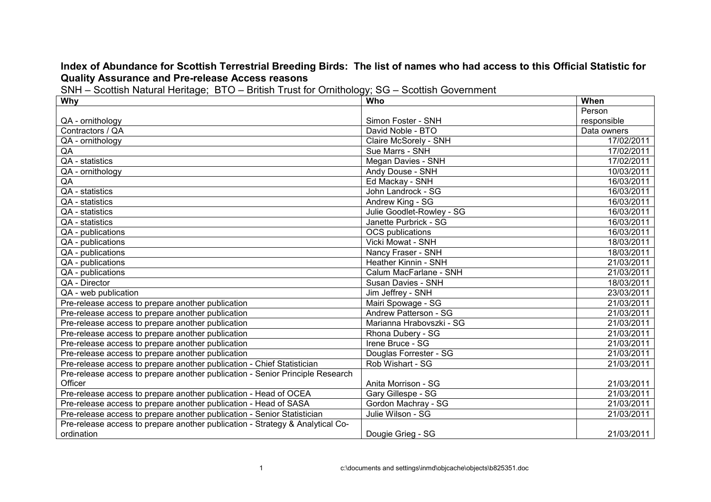## Index of Abundance for Scottish Terrestrial Breeding Birds: The list of names who had access to this Official Statistic for<br>Quality Assurance and Pre-release Access reasons<br>SNH – Scottish Natural Heritage; BTO – British

| <b>Why</b>                                                                    | Who                       | When        |
|-------------------------------------------------------------------------------|---------------------------|-------------|
|                                                                               |                           | Person      |
| QA - ornithology                                                              | Simon Foster - SNH        | responsible |
| Contractors / QA                                                              | David Noble - BTO         | Data owners |
| QA - ornithology                                                              | Claire McSorely - SNH     | 17/02/2011  |
| QA                                                                            | Sue Marrs - SNH           | 17/02/2011  |
| $\overline{QA}$ - statistics                                                  | Megan Davies - SNH        | 17/02/2011  |
| QA - ornithology                                                              | Andy Douse - SNH          | 10/03/2011  |
| QA                                                                            | Ed Mackay - SNH           | 16/03/2011  |
| QA - statistics                                                               | John Landrock - SG        | 16/03/2011  |
| QA - statistics                                                               | Andrew King - SG          | 16/03/2011  |
| QA - statistics                                                               | Julie Goodlet-Rowley - SG | 16/03/2011  |
| QA - statistics                                                               | Janette Purbrick - SG     | 16/03/2011  |
| QA - publications                                                             | OCS publications          | 16/03/2011  |
| QA - publications                                                             | Vicki Mowat - SNH         | 18/03/2011  |
| QA - publications                                                             | Nancy Fraser - SNH        | 18/03/2011  |
| QA - publications                                                             | Heather Kinnin - SNH      | 21/03/2011  |
| QA - publications                                                             | Calum MacFarlane - SNH    | 21/03/2011  |
| QA - Director                                                                 | Susan Davies - SNH        | 18/03/2011  |
| QA - web publication                                                          | Jim Jeffrey - SNH         | 23/03/2011  |
| Pre-release access to prepare another publication                             | Mairi Spowage - SG        | 21/03/2011  |
| Pre-release access to prepare another publication                             | Andrew Patterson - SG     | 21/03/2011  |
| Pre-release access to prepare another publication                             | Marianna Hrabovszki - SG  | 21/03/2011  |
| Pre-release access to prepare another publication                             | Rhona Dubery - SG         | 21/03/2011  |
| Pre-release access to prepare another publication                             | Irene Bruce - SG          | 21/03/2011  |
| Pre-release access to prepare another publication                             | Douglas Forrester - SG    | 21/03/2011  |
| Pre-release access to prepare another publication - Chief Statistician        | Rob Wishart - SG          | 21/03/2011  |
| Pre-release access to prepare another publication - Senior Principle Research |                           |             |
| Officer                                                                       | Anita Morrison - SG       | 21/03/2011  |
| Pre-release access to prepare another publication - Head of OCEA              | Gary Gillespe - SG        | 21/03/2011  |
| Pre-release access to prepare another publication - Head of SASA              | Gordon Machray - SG       | 21/03/2011  |
| Pre-release access to prepare another publication - Senior Statistician       | Julie Wilson - SG         | 21/03/2011  |
| Pre-release access to prepare another publication - Strategy & Analytical Co- |                           |             |
| ordination                                                                    | Dougie Grieg - SG         | 21/03/2011  |